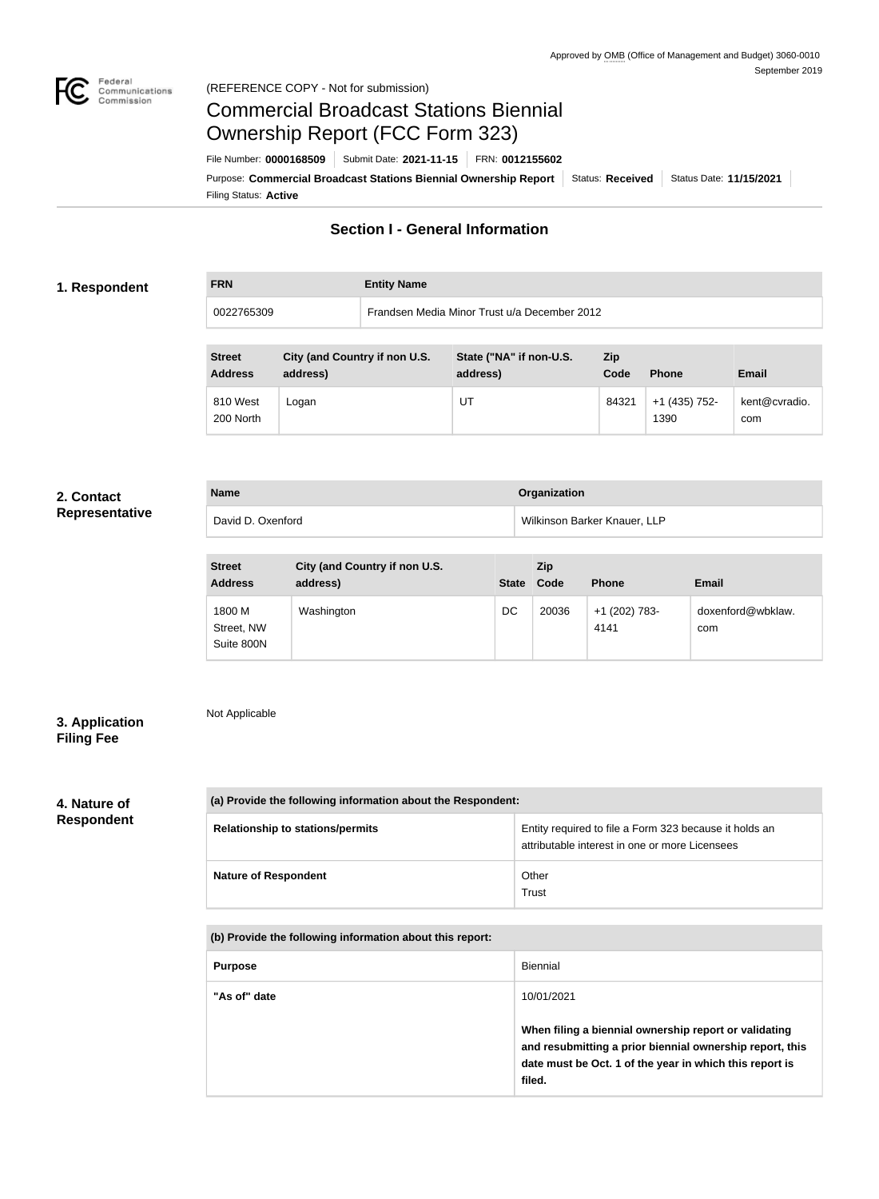

### Federal<br>Communications<br>Commission (REFERENCE COPY - Not for submission)

# Commercial Broadcast Stations Biennial Ownership Report (FCC Form 323)

Filing Status: **Active** Purpose: Commercial Broadcast Stations Biennial Ownership Report Status: Received | Status Date: 11/15/2021 File Number: **0000168509** Submit Date: **2021-11-15** FRN: **0012155602**

# **Section I - General Information**

### **1. Respondent**

**FRN Entity Name**

0022765309 Frandsen Media Minor Trust u/a December 2012

| <b>Street</b><br><b>Address</b> | City (and Country if non U.S.<br>address) | State ("NA" if non-U.S.<br>address) | Zip<br>Code | <b>Phone</b>          | <b>Email</b>         |
|---------------------------------|-------------------------------------------|-------------------------------------|-------------|-----------------------|----------------------|
| 810 West<br>200 North           | Logan                                     | UT                                  | 84321       | +1 (435) 752-<br>1390 | kent@cvradio.<br>com |

#### **2. Contact Representative**

| -<br>-<br>$-$<br>-<br>$- - -$<br>$\overline{\phantom{a}}$ | - |
|-----------------------------------------------------------|---|
|                                                           |   |
|                                                           |   |
|                                                           |   |

| <b>Name</b>       | Organization                 |  |
|-------------------|------------------------------|--|
| David D. Oxenford | Wilkinson Barker Knauer, LLP |  |

| <b>Street</b><br><b>Address</b>    | City (and Country if non U.S.<br>address) | <b>State</b> | Zip<br>Code | <b>Phone</b>          | <b>Email</b>             |
|------------------------------------|-------------------------------------------|--------------|-------------|-----------------------|--------------------------|
| 1800 M<br>Street, NW<br>Suite 800N | Washington                                | DC           | 20036       | +1 (202) 783-<br>4141 | doxenford@wbklaw.<br>com |

### **3. Application Filing Fee**

# Not Applicable

### **4. Nature of Respondent**

| (a) Provide the following information about the Respondent: |                                                                                                          |  |
|-------------------------------------------------------------|----------------------------------------------------------------------------------------------------------|--|
| <b>Relationship to stations/permits</b>                     | Entity required to file a Form 323 because it holds an<br>attributable interest in one or more Licensees |  |
| <b>Nature of Respondent</b>                                 | Other<br>Trust                                                                                           |  |

**(b) Provide the following information about this report:**

| <b>Purpose</b> | Biennial                                                                                                                                                                               |
|----------------|----------------------------------------------------------------------------------------------------------------------------------------------------------------------------------------|
| "As of" date   | 10/01/2021                                                                                                                                                                             |
|                | When filing a biennial ownership report or validating<br>and resubmitting a prior biennial ownership report, this<br>date must be Oct. 1 of the year in which this report is<br>filed. |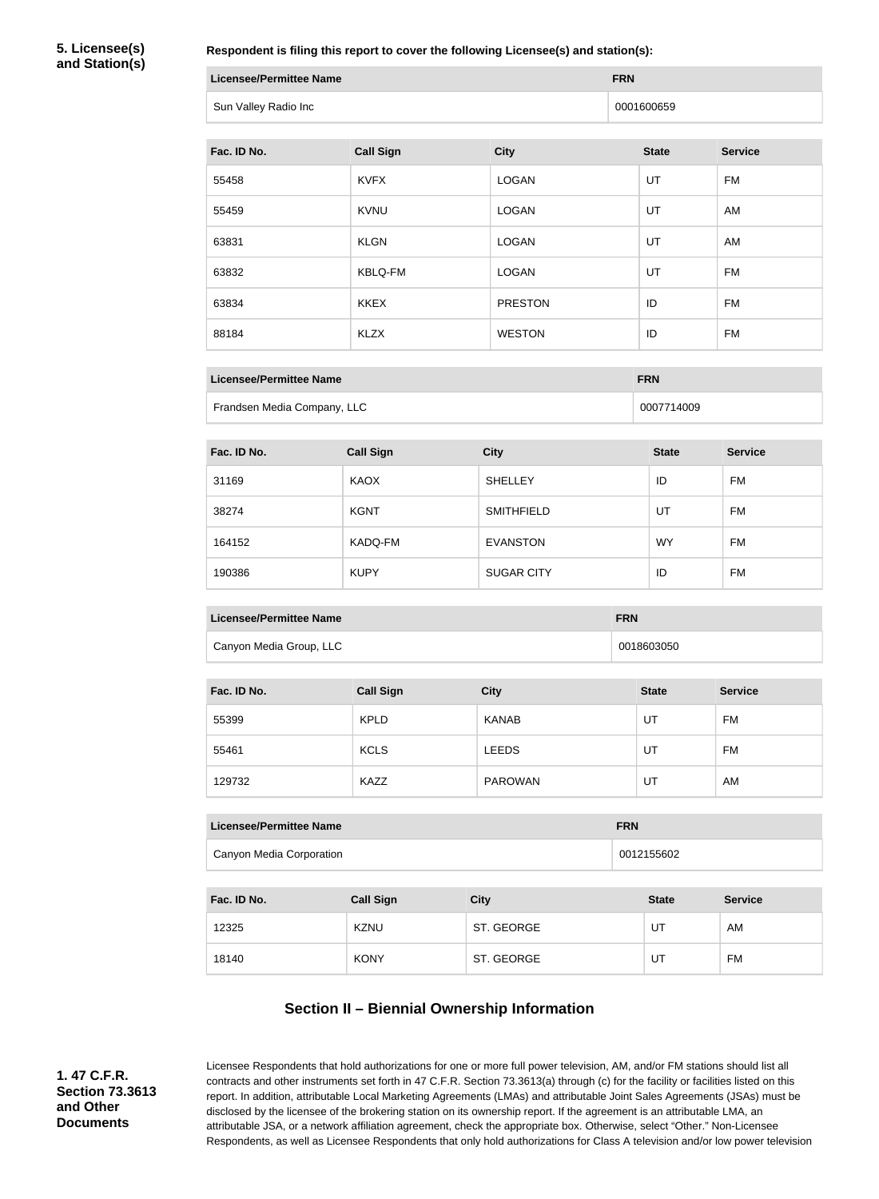**5. Licensee(s) and Station(s)**

**Respondent is filing this report to cover the following Licensee(s) and station(s):**

| Licensee/Permittee Name | <b>FRN</b> |
|-------------------------|------------|
| Sun Valley Radio Inc    | 0001600659 |

| Fac. ID No. | <b>Call Sign</b> | <b>City</b>    | <b>State</b> | <b>Service</b> |
|-------------|------------------|----------------|--------------|----------------|
| 55458       | <b>KVFX</b>      | <b>LOGAN</b>   | UT           | FM             |
| 55459       | <b>KVNU</b>      | <b>LOGAN</b>   | UT           | AM             |
| 63831       | <b>KLGN</b>      | <b>LOGAN</b>   | UT           | AM             |
| 63832       | <b>KBLQ-FM</b>   | <b>LOGAN</b>   | UT           | <b>FM</b>      |
| 63834       | <b>KKEX</b>      | <b>PRESTON</b> | ID           | <b>FM</b>      |
| 88184       | <b>KLZX</b>      | <b>WESTON</b>  | ID           | <b>FM</b>      |

| Licensee/Permittee Name     | <b>FRN</b> |
|-----------------------------|------------|
| Frandsen Media Company, LLC | 0007714009 |

| Fac. ID No. | <b>Call Sign</b> | <b>City</b>       | <b>State</b> | <b>Service</b> |
|-------------|------------------|-------------------|--------------|----------------|
| 31169       | KAOX             | <b>SHELLEY</b>    | ID           | FM             |
| 38274       | <b>KGNT</b>      | <b>SMITHFIELD</b> | UT           | FM             |
| 164152      | KADQ-FM          | <b>EVANSTON</b>   | <b>WY</b>    | FM             |
| 190386      | <b>KUPY</b>      | <b>SUGAR CITY</b> | ID           | FM             |

| Licensee/Permittee Name | <b>FRN</b> |
|-------------------------|------------|
| Canyon Media Group, LLC | 0018603050 |

| Fac. ID No. | <b>Call Sign</b> | <b>City</b>    | <b>State</b> | <b>Service</b> |
|-------------|------------------|----------------|--------------|----------------|
| 55399       | <b>KPLD</b>      | <b>KANAB</b>   | UT           | <b>FM</b>      |
| 55461       | <b>KCLS</b>      | <b>LEEDS</b>   | UT           | <b>FM</b>      |
| 129732      | KAZZ             | <b>PAROWAN</b> | UT           | AM             |

| Licensee/Permittee Name  | <b>FRN</b> |
|--------------------------|------------|
| Canyon Media Corporation | 0012155602 |

| Fac. ID No. | <b>Call Sign</b> | <b>City</b> | <b>State</b> | <b>Service</b> |
|-------------|------------------|-------------|--------------|----------------|
| 12325       | <b>KZNU</b>      | ST. GEORGE  | U٦           | AM             |
| 18140       | <b>KONY</b>      | ST. GEORGE  | UT           | FM             |

# **Section II – Biennial Ownership Information**

**1. 47 C.F.R. Section 73.3613 and Other Documents**

Licensee Respondents that hold authorizations for one or more full power television, AM, and/or FM stations should list all contracts and other instruments set forth in 47 C.F.R. Section 73.3613(a) through (c) for the facility or facilities listed on this report. In addition, attributable Local Marketing Agreements (LMAs) and attributable Joint Sales Agreements (JSAs) must be disclosed by the licensee of the brokering station on its ownership report. If the agreement is an attributable LMA, an attributable JSA, or a network affiliation agreement, check the appropriate box. Otherwise, select "Other." Non-Licensee Respondents, as well as Licensee Respondents that only hold authorizations for Class A television and/or low power television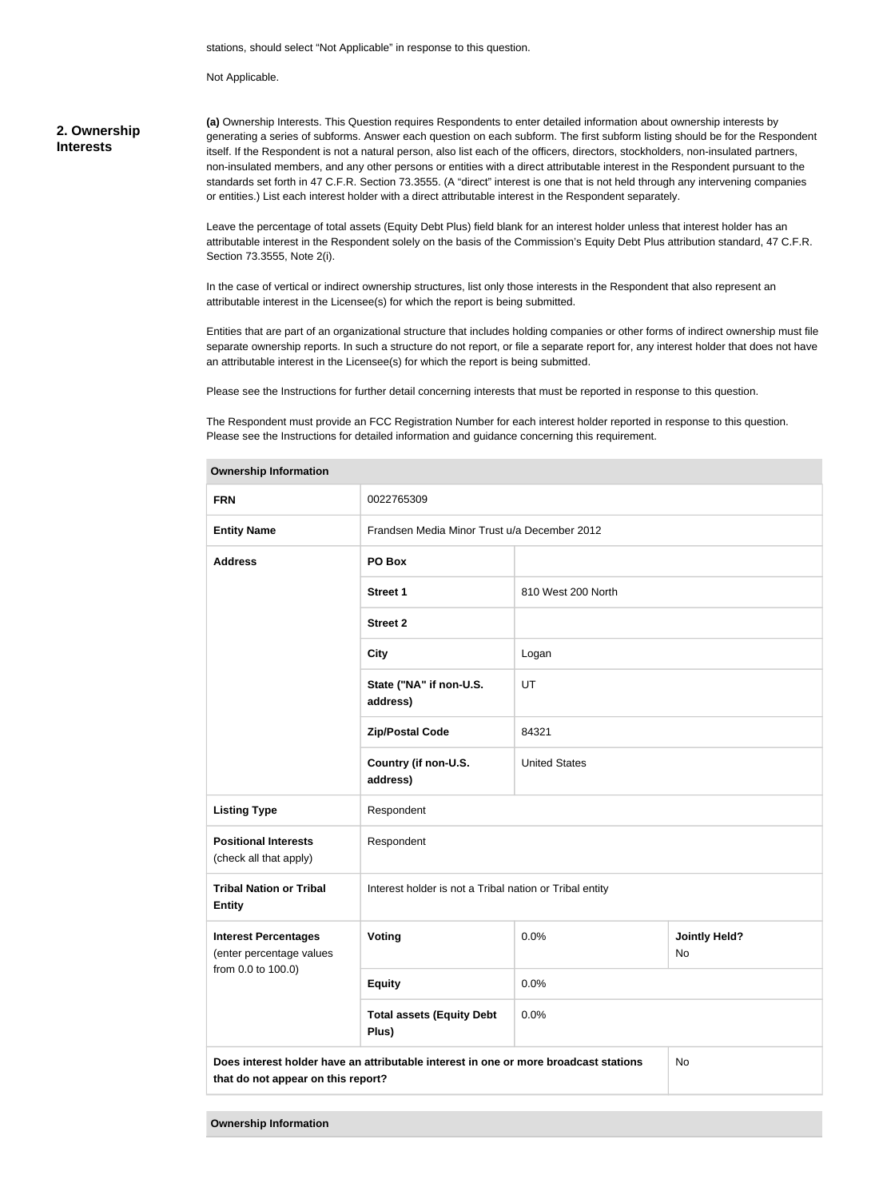stations, should select "Not Applicable" in response to this question.

Not Applicable.

#### **2. Ownership Interests**

**(a)** Ownership Interests. This Question requires Respondents to enter detailed information about ownership interests by generating a series of subforms. Answer each question on each subform. The first subform listing should be for the Respondent itself. If the Respondent is not a natural person, also list each of the officers, directors, stockholders, non-insulated partners, non-insulated members, and any other persons or entities with a direct attributable interest in the Respondent pursuant to the standards set forth in 47 C.F.R. Section 73.3555. (A "direct" interest is one that is not held through any intervening companies or entities.) List each interest holder with a direct attributable interest in the Respondent separately.

Leave the percentage of total assets (Equity Debt Plus) field blank for an interest holder unless that interest holder has an attributable interest in the Respondent solely on the basis of the Commission's Equity Debt Plus attribution standard, 47 C.F.R. Section 73.3555, Note 2(i).

In the case of vertical or indirect ownership structures, list only those interests in the Respondent that also represent an attributable interest in the Licensee(s) for which the report is being submitted.

Entities that are part of an organizational structure that includes holding companies or other forms of indirect ownership must file separate ownership reports. In such a structure do not report, or file a separate report for, any interest holder that does not have an attributable interest in the Licensee(s) for which the report is being submitted.

Please see the Instructions for further detail concerning interests that must be reported in response to this question.

The Respondent must provide an FCC Registration Number for each interest holder reported in response to this question. Please see the Instructions for detailed information and guidance concerning this requirement.

| <b>FRN</b>                                              | 0022765309                                                                           |                      |                            |
|---------------------------------------------------------|--------------------------------------------------------------------------------------|----------------------|----------------------------|
| <b>Entity Name</b>                                      | Frandsen Media Minor Trust u/a December 2012                                         |                      |                            |
| <b>Address</b>                                          | PO Box                                                                               |                      |                            |
|                                                         | <b>Street 1</b>                                                                      | 810 West 200 North   |                            |
|                                                         | <b>Street 2</b>                                                                      |                      |                            |
|                                                         | <b>City</b>                                                                          | Logan                |                            |
|                                                         | State ("NA" if non-U.S.<br>address)                                                  | UT                   |                            |
|                                                         | <b>Zip/Postal Code</b>                                                               | 84321                |                            |
|                                                         | Country (if non-U.S.<br>address)                                                     | <b>United States</b> |                            |
| <b>Listing Type</b>                                     | Respondent                                                                           |                      |                            |
| <b>Positional Interests</b><br>(check all that apply)   | Respondent                                                                           |                      |                            |
| <b>Tribal Nation or Tribal</b><br><b>Entity</b>         | Interest holder is not a Tribal nation or Tribal entity                              |                      |                            |
| <b>Interest Percentages</b><br>(enter percentage values | Voting                                                                               | 0.0%                 | <b>Jointly Held?</b><br>No |
| from 0.0 to 100.0)                                      | <b>Equity</b>                                                                        | 0.0%                 |                            |
|                                                         | <b>Total assets (Equity Debt</b><br>Plus)                                            | 0.0%                 |                            |
| that do not appear on this report?                      | Does interest holder have an attributable interest in one or more broadcast stations |                      | No                         |

**Ownership Information**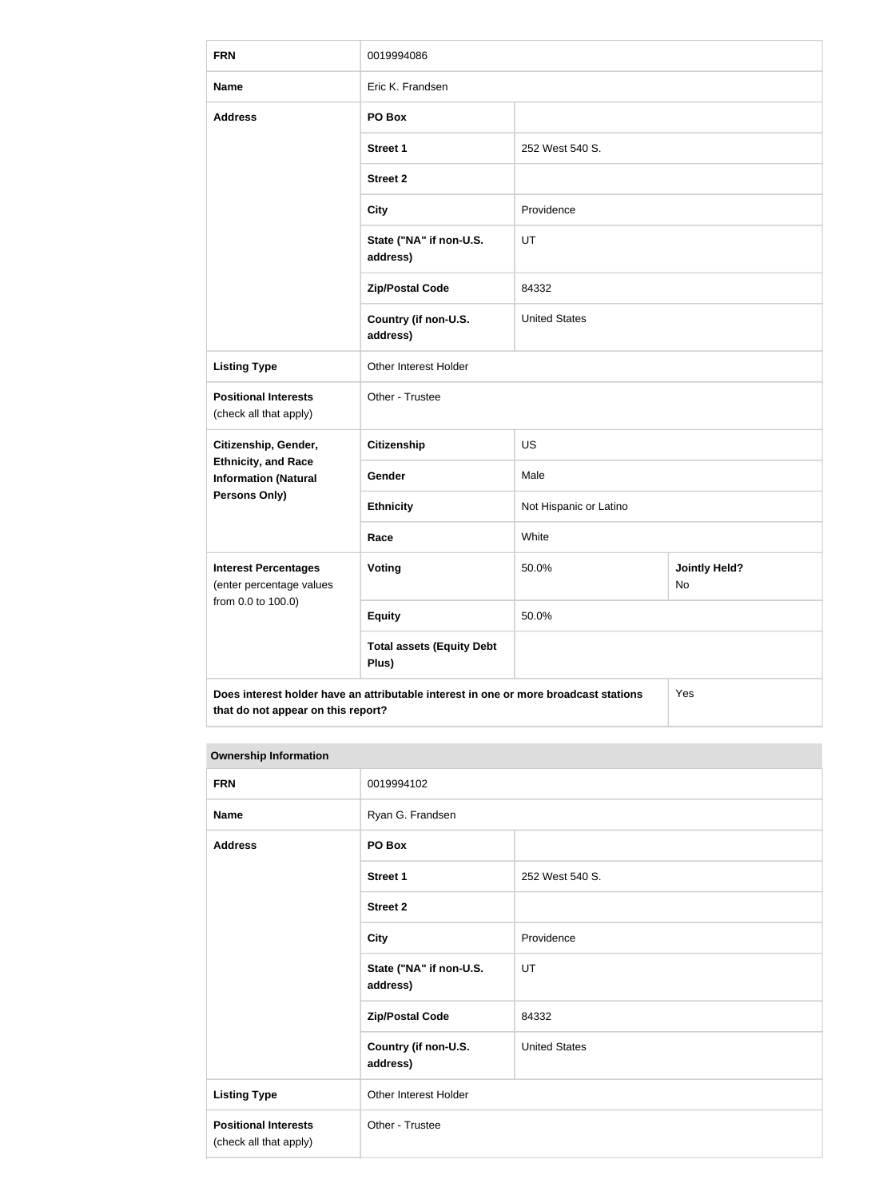| <b>FRN</b>                                                | 0019994086                                                                           |                        |                            |
|-----------------------------------------------------------|--------------------------------------------------------------------------------------|------------------------|----------------------------|
| <b>Name</b>                                               | Eric K. Frandsen                                                                     |                        |                            |
| <b>Address</b>                                            | PO Box                                                                               |                        |                            |
|                                                           | <b>Street 1</b>                                                                      | 252 West 540 S.        |                            |
|                                                           | <b>Street 2</b>                                                                      |                        |                            |
|                                                           | <b>City</b>                                                                          | Providence             |                            |
|                                                           | State ("NA" if non-U.S.<br>address)                                                  | UT                     |                            |
|                                                           | <b>Zip/Postal Code</b>                                                               | 84332                  |                            |
|                                                           | Country (if non-U.S.<br>address)                                                     | <b>United States</b>   |                            |
| <b>Listing Type</b>                                       | Other Interest Holder                                                                |                        |                            |
| <b>Positional Interests</b><br>(check all that apply)     | Other - Trustee                                                                      |                        |                            |
| Citizenship, Gender,                                      | Citizenship                                                                          | <b>US</b>              |                            |
| <b>Ethnicity, and Race</b><br><b>Information (Natural</b> | Gender                                                                               | Male                   |                            |
| <b>Persons Only)</b>                                      | <b>Ethnicity</b>                                                                     | Not Hispanic or Latino |                            |
|                                                           | Race                                                                                 | White                  |                            |
| <b>Interest Percentages</b><br>(enter percentage values   | <b>Voting</b>                                                                        | 50.0%                  | <b>Jointly Held?</b><br>No |
| from 0.0 to 100.0)                                        | <b>Equity</b>                                                                        | 50.0%                  |                            |
|                                                           | <b>Total assets (Equity Debt</b><br>Plus)                                            |                        |                            |
| that do not appear on this report?                        | Does interest holder have an attributable interest in one or more broadcast stations |                        | Yes                        |

#### **Ownership Information**

| <b>FRN</b>                                            | 0019994102                          |                      |
|-------------------------------------------------------|-------------------------------------|----------------------|
| <b>Name</b>                                           | Ryan G. Frandsen                    |                      |
| <b>Address</b>                                        | PO Box                              |                      |
|                                                       | Street 1                            | 252 West 540 S.      |
|                                                       | <b>Street 2</b>                     |                      |
|                                                       | <b>City</b>                         | Providence           |
|                                                       | State ("NA" if non-U.S.<br>address) | UT                   |
|                                                       | <b>Zip/Postal Code</b>              | 84332                |
|                                                       | Country (if non-U.S.<br>address)    | <b>United States</b> |
| <b>Listing Type</b>                                   | Other Interest Holder               |                      |
| <b>Positional Interests</b><br>(check all that apply) | Other - Trustee                     |                      |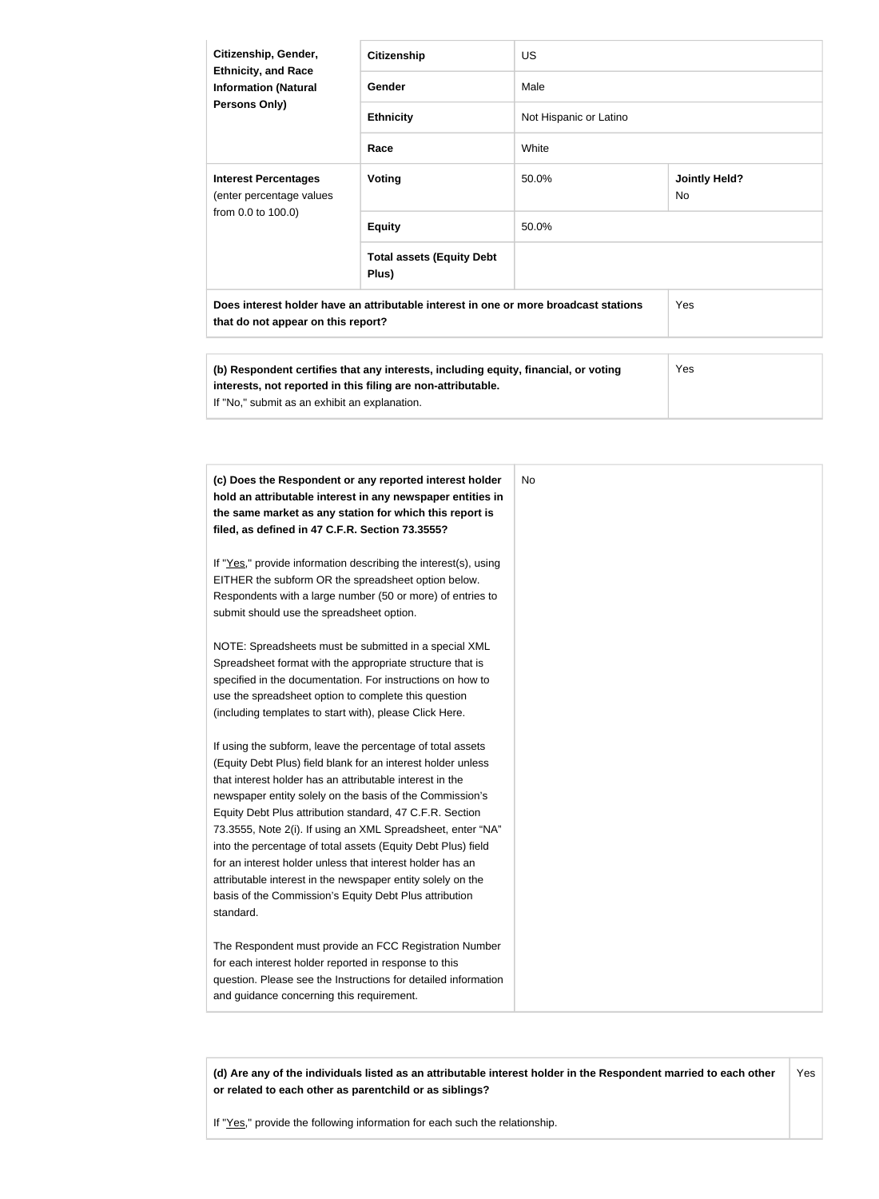| Citizenship, Gender,<br><b>Ethnicity, and Race</b>                                                                         | <b>Citizenship</b>                        | US.                    |                            |
|----------------------------------------------------------------------------------------------------------------------------|-------------------------------------------|------------------------|----------------------------|
| <b>Information (Natural</b>                                                                                                | Gender                                    | Male                   |                            |
| <b>Persons Only)</b>                                                                                                       | <b>Ethnicity</b>                          | Not Hispanic or Latino |                            |
|                                                                                                                            | Race                                      | White                  |                            |
| <b>Interest Percentages</b><br>(enter percentage values                                                                    | Voting                                    | 50.0%                  | <b>Jointly Held?</b><br>No |
| from 0.0 to 100.0)                                                                                                         | <b>Equity</b>                             | 50.0%                  |                            |
|                                                                                                                            | <b>Total assets (Equity Debt</b><br>Plus) |                        |                            |
| Does interest holder have an attributable interest in one or more broadcast stations<br>that do not appear on this report? |                                           |                        | Yes                        |
|                                                                                                                            |                                           |                        |                            |

| (b) Respondent certifies that any interests, including equity, financial, or voting<br>interests, not reported in this filing are non-attributable. | Yes |
|-----------------------------------------------------------------------------------------------------------------------------------------------------|-----|
| If "No," submit as an exhibit an explanation.                                                                                                       |     |

| (c) Does the Respondent or any reported interest holder         | No |
|-----------------------------------------------------------------|----|
| hold an attributable interest in any newspaper entities in      |    |
| the same market as any station for which this report is         |    |
| filed, as defined in 47 C.F.R. Section 73.3555?                 |    |
| If "Yes," provide information describing the interest(s), using |    |
| EITHER the subform OR the spreadsheet option below.             |    |
| Respondents with a large number (50 or more) of entries to      |    |
| submit should use the spreadsheet option.                       |    |
| NOTE: Spreadsheets must be submitted in a special XML           |    |
| Spreadsheet format with the appropriate structure that is       |    |
| specified in the documentation. For instructions on how to      |    |
| use the spreadsheet option to complete this question            |    |
| (including templates to start with), please Click Here.         |    |
| If using the subform, leave the percentage of total assets      |    |
| (Equity Debt Plus) field blank for an interest holder unless    |    |
| that interest holder has an attributable interest in the        |    |
| newspaper entity solely on the basis of the Commission's        |    |
| Equity Debt Plus attribution standard, 47 C.F.R. Section        |    |
| 73.3555, Note 2(i). If using an XML Spreadsheet, enter "NA"     |    |
| into the percentage of total assets (Equity Debt Plus) field    |    |
| for an interest holder unless that interest holder has an       |    |
| attributable interest in the newspaper entity solely on the     |    |
| basis of the Commission's Equity Debt Plus attribution          |    |
| standard.                                                       |    |
| The Respondent must provide an FCC Registration Number          |    |
| for each interest holder reported in response to this           |    |
| question. Please see the Instructions for detailed information  |    |
| and guidance concerning this requirement.                       |    |

**(d) Are any of the individuals listed as an attributable interest holder in the Respondent married to each other or related to each other as parentchild or as siblings?** Yes

If "Yes," provide the following information for each such the relationship.